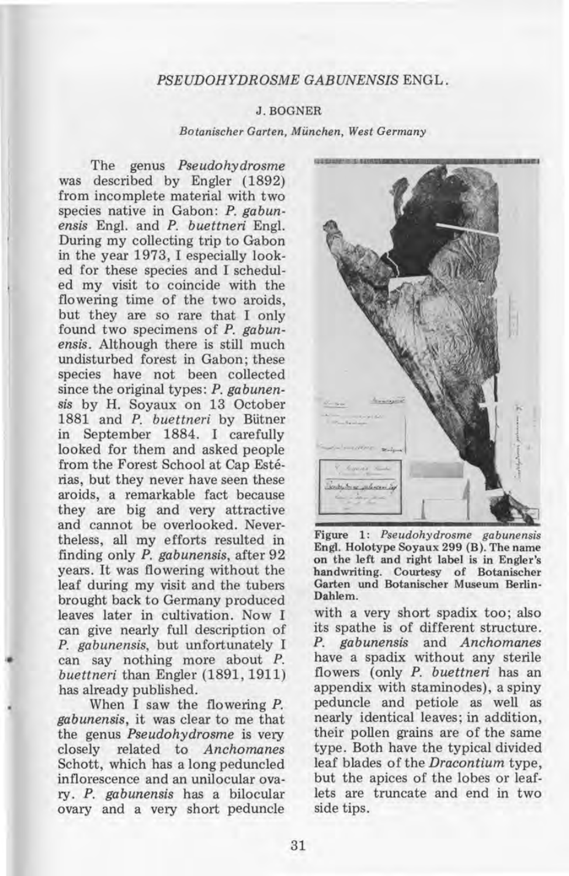## *PSEUDOHYDROSME GABUNENSIS* ENGL.

## J. BOGNER

*Botanischer Garten, Miinchen, West Germany* 

The genus *Pseudohydrosme*  was described by Engler (1892) from incomplete material with two species native in Gabon: *P. gabunensis* Engl. and *P. buettneri* Engl. During my collecting trip to Gabon in the year 1973, I especially looked for these species and I scheduled my visit to coincide with the flowering time of the two aroids, but they are so rare that I only found two specimens of *P. gabunensis.* Although there is still much undisturbed forest in Gabon; these species have not been collected since the original types: *P. gabunensis* by H. Soyaux on 13 October 1881 and *P. buettneri* by Bütner in September 1884. I carefully looked for them and asked people from the Forest School at Cap Esterias, but they never have seen these aroids, a remarkable fact because they are big and very attractive and cannot be overlooked. Nevertheless, all my efforts resulted in finding only *P. gabunensis,* after 92 years. It was flowering without the leaf during my visit and the tubers brought back to Germany produced leaves later in cultivation. Now I can give nearly full description of *P. gabunensis,* but unfortunately I can say nothing more about P. *buettneri* than Engler (1891,1911) has already published.

When I saw the flowering P. *gabunensis,* it was clear to me that the genus *Pseudohydrosme* is very closely related to *Anchomanes*  Schott, which has a long peduncled inflorescence and an unilocular ovary. *P. gabunensis* has a bilocular ovary and a very short peduncle



Figure 1: *Pseudohydrosme gabunensis*  Engl. Holotype Soyaux 299 (B). The name on the left and right label is in Engler's handwriting. Courtesy of Botanischer Garten und Botanischer Museum Berlin-Dahlem.

with a very short spadix too; also its spathe is of different structure. *P. gabunensis* and *Anchomanes*  have a spadix without any sterile flowers (only *P. buettneri* has an appendix with staminodes), a spiny peduncle and petiole as well as nearly identical leaves; in addition, their pollen grains are of the same type. Both have the typical divided leaf blades of the *Dracontium* type, but the apices of the lobes or leaflets are truncate and end in two side tips.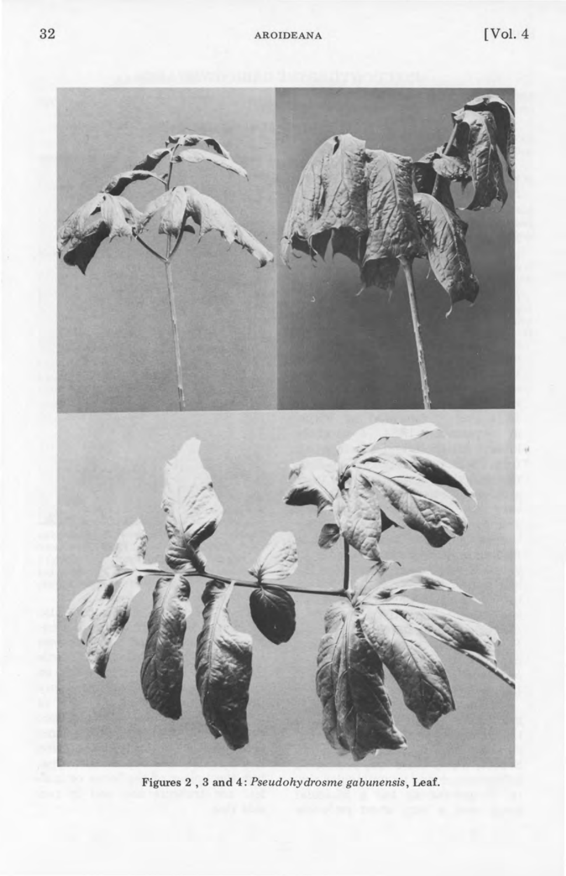

Figures 2,3 **and** 4: *Pseudohydrosme gabunensis,* Leaf.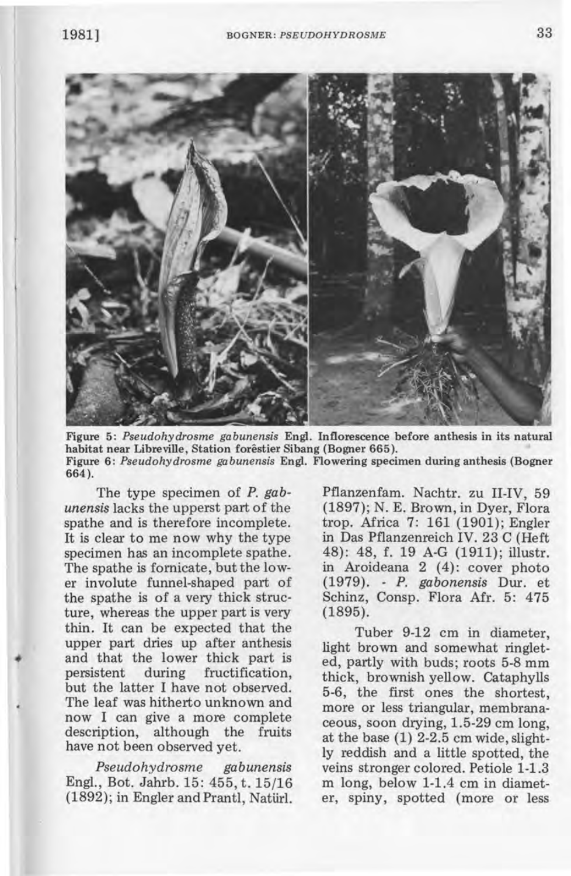

Figure 5: *Pseudohydrosme gabunensis* Engl. Inflorescence before anthesis in its natural habitat near Libreville, Station forêstier Sibang (Bogner 665). Figure 6: *Pseudohydrosme gabunensis* Engl. Flowering specimen during anthesis (Bogner 664).

The type specimen of *P. gabunensis* lacks the upperst part of the spathe and is therefore incomplete. It is clear to me now why the type specimen has an incomplete spathe. The spathe is fornicate, but the lower involute funnel-shaped part of the spathe is of a very thick structure, whereas the upper part is very thin. It can be expected that the upper part dries up after anthesis and that the lower thick part is persistent during fructification, but the latter I have not observed. The leaf was hitherto unknown and now I can give a more complete description, although the fruits have not been observed yet.

*Pseudohydrosme gabunensis*  Engl., Bot. Jahrb. 15: 455, t. 15/16 (1892); in Engler and Prantl, Natiirl. Pflanzenfam. Nachtr. zu II-IV, 59 (1897); N. E. Brown, in Dyer, Flora trop. Africa 7: 161 (1901); Engler in Das Pflanzenreich IV. 23 C (Heft 48): 48, f. 19 A-G (1911); illustr. in Aroideana 2 (4): cover photo (1979). - *P. gabonensis* Dur. et Schinz, Consp. Flora Afr. 5: 475 (1895).

Tuber 9-12 cm in diameter, light brown and somewhat ringleted, partly with buds; roots 5-8 mm thick, brownish yellow. Cataphylls 5-6, the first ones the shortest, more or less triangular, membranaceous, soon drying, 1.5-29 cm long, at the base (1) 2-2.5 cm wide, slightly reddish and a little spotted, the veins stronger colored. Petiole 1-1.3 m long, below 1-1.4 cm in diameter, spiny, spotted (more or less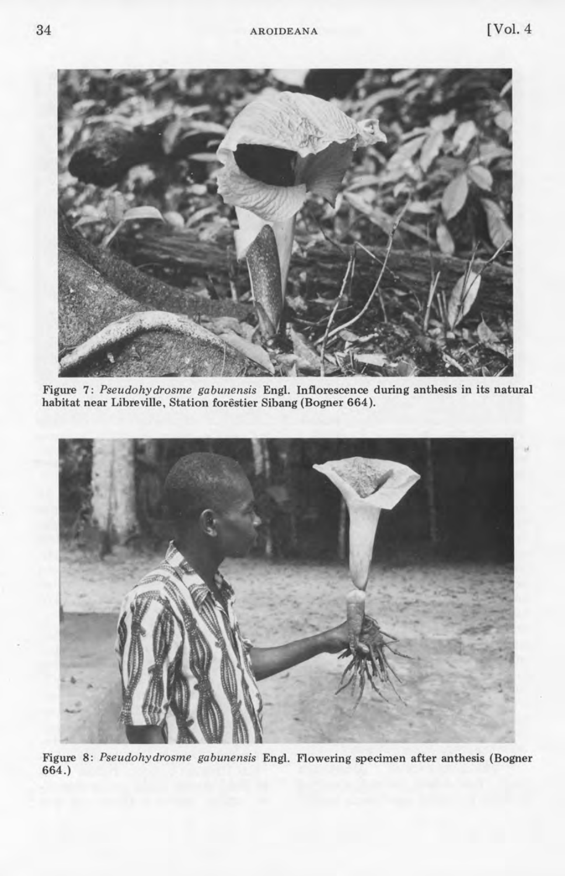

Figure 7 : *Pseudohydrosme gabunensis* Engl. Inflorescence during anthesis in its natural habitat near Libreville. Station forestier Sibang (Bogner 664).



Figure 8: *Pseudohydrosme gabunensis* Engl. Flowering specimen after anthesis (Bogner 664.)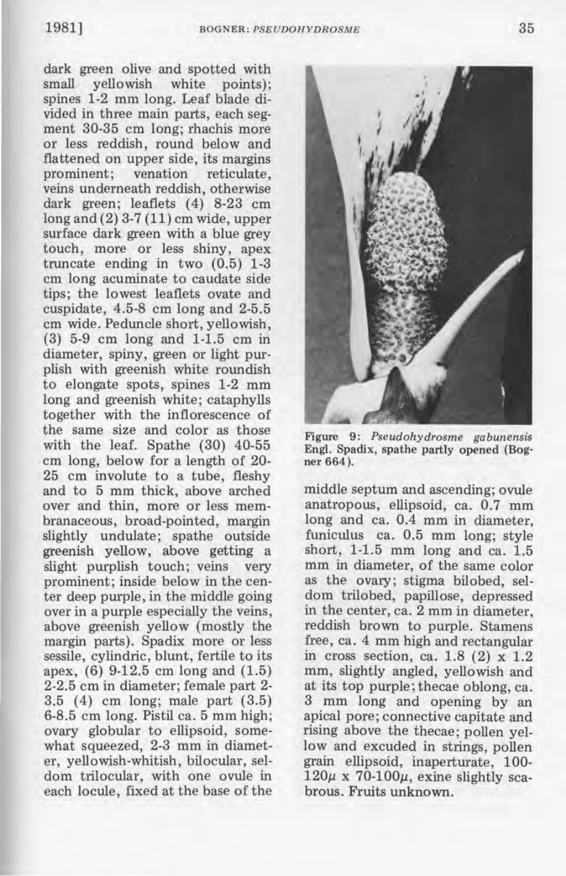dark green olive and spotted with small yellowish white points); spines 1-2 mm long. Leaf blade divided in three main parts, each segment 30-35 cm long; rhachis more or less reddish, round below and flattened on upper side, its margins prominent; venation reticulate, veins underneath reddish, otherwise dark green; leaflets (4) 8-23 cm long and (2) 3-7 (11) cm wide, upper surface dark green with a blue grey touch, more or less shiny, apex truncate ending in two (0.5) 1-3 cm long acuminate to caudate side tips; the lowest leaflets ovate and cuspidate, 4.5-8 cm long and 2-5.5 cm wide. Peduncle short, yellowish, (3) 5-9 cm long and 1-1.5 cm in diameter, spiny, green or light purplish with greenish white roundish to elongate spots, spines 1-2 mm long and greenish white; cataphylls together with the inflorescence of the same size and color as those with the leaf. Spathe (30) 40-55 cm long, below for a length of 20- 25 cm involute to a tube, fleshy and to 5 mm thick, above arched . over and thin, more or less membranaceous, broad-pointed, margin slightly undulate; spathe outside greenish yellow, above getting a slight purplish touch; veins very prominent; inside below in the center deep purple, in the middle going over in a purple especially the veins, above greenish yellow (mostly the margin parts). Spadix more or less sessile, cylindric, blunt, fertile to its apex, (6) 9-12.5 cm long and (1.5) 2-2.5 cm in diameter; female part 2- 3.5 (4) cm long; male part (3.5) 6-8.5 cm long. Pistil ca. 5 mm high; ovary globular to ellipsoid, somewhat squeezed, 2-3 mm in diameter, yellowish-whitish, bilocular, seldom trilocular, with one ovule in each locule, fixed at the base of the



Figure 9: *Pseudohydrosme gabunensis*  Engl. Spadix, spathe partly opened (Bogner 664).

middle septum and ascending; ovule anatropous, ellipsoid, ca. 0.7 mm long and ca. 0.4 mm in diameter, funiculus ca. 0.5 mm long; style short, 1-1.5 mm long and ca. 1.5 mm in diameter, of the same color as the ovary; stigma bilobed, seldom trilobed, papillose, depressed in the center, ca. 2 mm in diameter, reddish brown to purple. Stamens free, ca. 4 mm high and rectangular in cross section, ca.  $1.8$  (2)  $\times$  1.2 mm, slightly angled, yellowish and at its top purple; thecae oblong, ca. 3 mm long and opening by an apical pore; connective capitate and rising above the thecae; pollen yellow and excuded in strings, pollen grain ellipsoid, inaperturate, 100-  $120\mu$  x  $70-100\mu$ , exine slightly scabrous. Fruits unknown.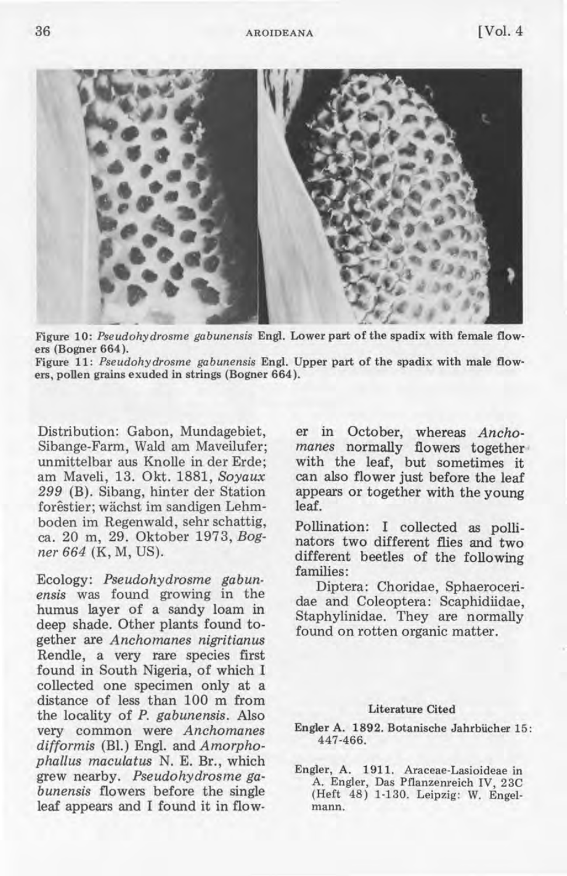

Figure 10: *Pseudohydrosme gabunensis* Engl. Lower part of the spadix with female flowers (Bogner 664).

Figure 11: *Pseudohydrosme gabunensis* Engl. Upper part of the spadix with male flowers, pollen grains exuded in strings (Bogner 664).

Distribution: Gabon, Mundagebiet, Sibange-Farm, Wald am Maveilufer; unmittelbar aus Knolle in der Erde; am Maveli, 13. Okt. 1881, *Soyaux*  299 (B). Sibang, hinter der Station forêstier; wächst im sandigen Lehmboden im Regenwald, sehr schattig, ca. 20 m, 29. Oktober 1973, *Bogner* 664 (K, M, US).

Ecology: *Pseudohydrosme gabunensis* was found growing in the humus layer of a sandy loam in deep shade. Other plants found together are *Anchomanes nigritianus*  Rendle, a very rare species first found in South Nigeria, of which I collected one specimen only at a distance of less than 100 m from the locality of *P. gabunensis.* Also very common were *Anchomanes difformis* (Bl.) Engl. and *Amorphophallus maculatus* N. E. Br., which grew nearby. *Pseudohydrosme gabunensis* flowers before the single leaf appears and I found it in flower in October, whereas *Anchomanes* normally flowers together with the leaf, but sometimes it can also flower just before the leaf appears or together with the young leaf.

Pollination: I collected as pollinators two different flies and two different beetles of the following families:

Diptera: Choridae, Sphaeroceridae and Coleoptera: Scaphidiidae, Staphylinidae. They are normally found on rotten organic matter.

## Literature Cited

- Engler A. 1892. Botanische Jahrbücher 15: 447-466.
- Engler, A. 1911. Araceae-Lasioideae in A. Engler, Das Pflanzenreich IV, 23C (Heft 48) 1-130. Leipzig: W. Engelmann.